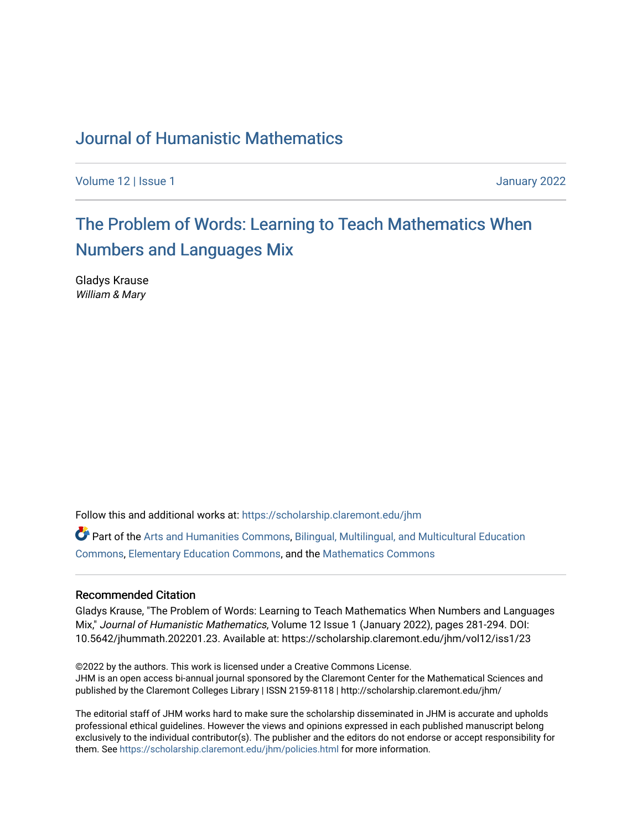## [Journal of Humanistic Mathematics](https://scholarship.claremont.edu/jhm)

[Volume 12](https://scholarship.claremont.edu/jhm/vol12) | Issue 1 January 2022

## The Problem of Words: Learning to Teach Mathematics When [Numbers and Languages Mix](https://scholarship.claremont.edu/jhm/vol12/iss1/23)

Gladys Krause William & Mary

Follow this and additional works at: [https://scholarship.claremont.edu/jhm](https://scholarship.claremont.edu/jhm?utm_source=scholarship.claremont.edu%2Fjhm%2Fvol12%2Fiss1%2F23&utm_medium=PDF&utm_campaign=PDFCoverPages)

Part of the [Arts and Humanities Commons,](http://network.bepress.com/hgg/discipline/438?utm_source=scholarship.claremont.edu%2Fjhm%2Fvol12%2Fiss1%2F23&utm_medium=PDF&utm_campaign=PDFCoverPages) [Bilingual, Multilingual, and Multicultural Education](http://network.bepress.com/hgg/discipline/785?utm_source=scholarship.claremont.edu%2Fjhm%2Fvol12%2Fiss1%2F23&utm_medium=PDF&utm_campaign=PDFCoverPages) [Commons](http://network.bepress.com/hgg/discipline/785?utm_source=scholarship.claremont.edu%2Fjhm%2Fvol12%2Fiss1%2F23&utm_medium=PDF&utm_campaign=PDFCoverPages), [Elementary Education Commons,](http://network.bepress.com/hgg/discipline/1378?utm_source=scholarship.claremont.edu%2Fjhm%2Fvol12%2Fiss1%2F23&utm_medium=PDF&utm_campaign=PDFCoverPages) and the [Mathematics Commons](http://network.bepress.com/hgg/discipline/174?utm_source=scholarship.claremont.edu%2Fjhm%2Fvol12%2Fiss1%2F23&utm_medium=PDF&utm_campaign=PDFCoverPages) 

### Recommended Citation

Gladys Krause, "The Problem of Words: Learning to Teach Mathematics When Numbers and Languages Mix," Journal of Humanistic Mathematics, Volume 12 Issue 1 (January 2022), pages 281-294. DOI: 10.5642/jhummath.202201.23. Available at: https://scholarship.claremont.edu/jhm/vol12/iss1/23

©2022 by the authors. This work is licensed under a Creative Commons License. JHM is an open access bi-annual journal sponsored by the Claremont Center for the Mathematical Sciences and published by the Claremont Colleges Library | ISSN 2159-8118 | http://scholarship.claremont.edu/jhm/

The editorial staff of JHM works hard to make sure the scholarship disseminated in JHM is accurate and upholds professional ethical guidelines. However the views and opinions expressed in each published manuscript belong exclusively to the individual contributor(s). The publisher and the editors do not endorse or accept responsibility for them. See<https://scholarship.claremont.edu/jhm/policies.html> for more information.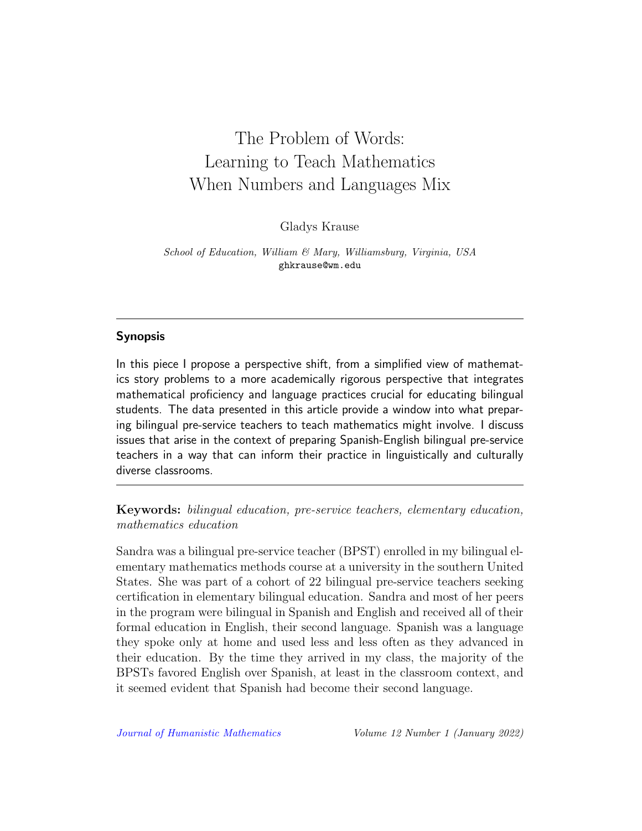# The Problem of Words: Learning to Teach Mathematics When Numbers and Languages Mix

Gladys Krause

School of Education, William & Mary, Williamsburg, Virginia, USA ghkrause@wm.edu

## Synopsis

In this piece I propose a perspective shift, from a simplified view of mathematics story problems to a more academically rigorous perspective that integrates mathematical proficiency and language practices crucial for educating bilingual students. The data presented in this article provide a window into what preparing bilingual pre-service teachers to teach mathematics might involve. I discuss issues that arise in the context of preparing Spanish-English bilingual pre-service teachers in a way that can inform their practice in linguistically and culturally diverse classrooms.

Keywords: bilingual education, pre-service teachers, elementary education, mathematics education

Sandra was a bilingual pre-service teacher (BPST) enrolled in my bilingual elementary mathematics methods course at a university in the southern United States. She was part of a cohort of 22 bilingual pre-service teachers seeking certification in elementary bilingual education. Sandra and most of her peers in the program were bilingual in Spanish and English and received all of their formal education in English, their second language. Spanish was a language they spoke only at home and used less and less often as they advanced in their education. By the time they arrived in my class, the majority of the BPSTs favored English over Spanish, at least in the classroom context, and it seemed evident that Spanish had become their second language.

[Journal of Humanistic Mathematics](http://scholarship.claremont.edu/jhm/) Volume 12 Number 1 (January 2022)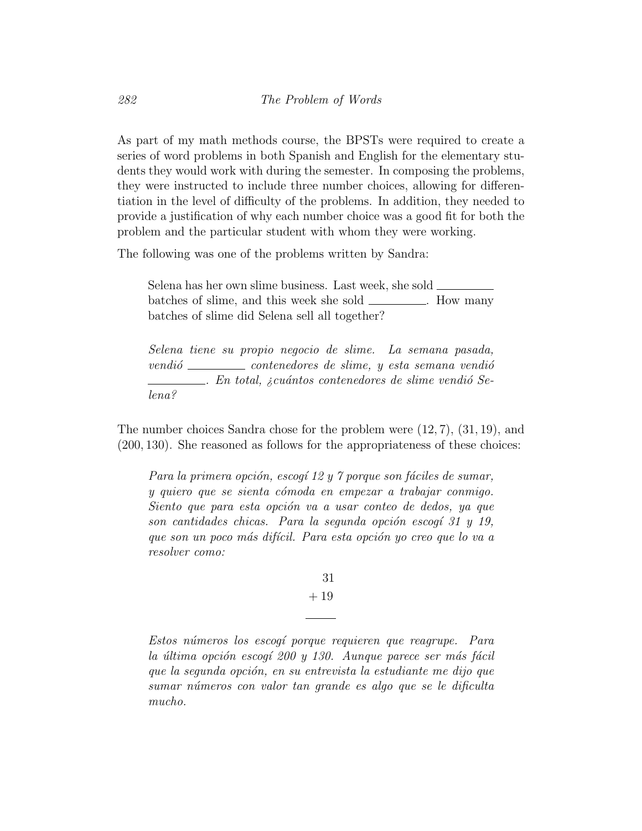As part of my math methods course, the BPSTs were required to create a series of word problems in both Spanish and English for the elementary students they would work with during the semester. In composing the problems, they were instructed to include three number choices, allowing for differentiation in the level of difficulty of the problems. In addition, they needed to provide a justification of why each number choice was a good fit for both the problem and the particular student with whom they were working.

The following was one of the problems written by Sandra:

Selena has her own slime business. Last week, she sold batches of slime, and this week she sold \_\_\_\_\_\_\_\_\_. How many batches of slime did Selena sell all together?

Selena tiene su propio negocio de slime. La semana pasada,  $vendi\acute{o}$  contenedores de slime, y esta semana vendió  $\Box$ . En total, ¿cuántos contenedores de slime vendió Selena?

The number choices Sandra chose for the problem were (12, 7), (31, 19), and (200, 130). She reasoned as follows for the appropriateness of these choices:

Para la primera opción, escogí 12 y 7 porque son fáciles de sumar, y quiero que se sienta cómoda en empezar a trabajar conmigo. Siento que para esta opción va a usar conteo de dedos, ya que son cantidades chicas. Para la segunda opción escogí 31 y 19, que son un poco más difícil. Para esta opción yo creo que lo va a resolver como:

> 31 + 19

Estos números los escogí porque requieren que reagrupe. Para la última opción escogí 200 y 130. Aunque parece ser más fácil que la segunda opción, en su entrevista la estudiante me dijo que sumar números con valor tan grande es algo que se le dificulta mucho.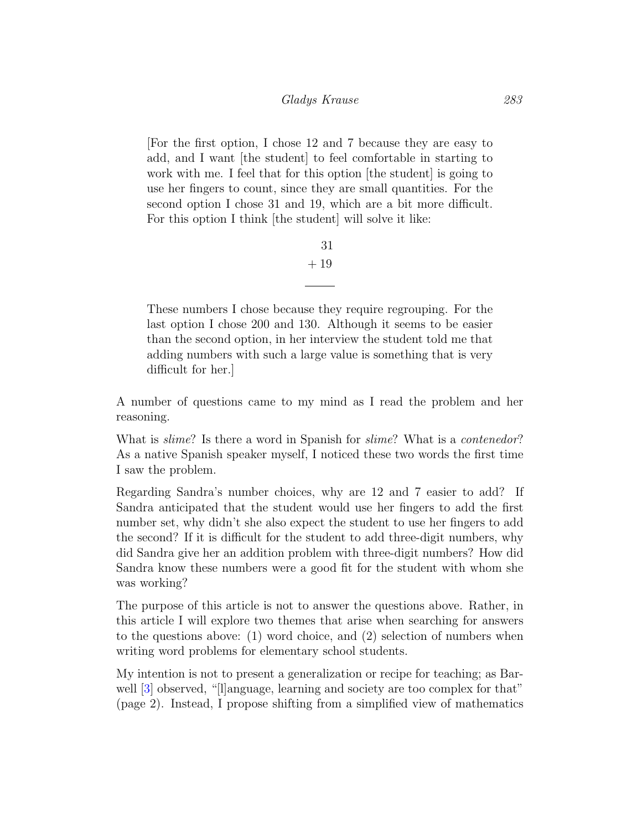[For the first option, I chose 12 and 7 because they are easy to add, and I want [the student] to feel comfortable in starting to work with me. I feel that for this option [the student] is going to use her fingers to count, since they are small quantities. For the second option I chose 31 and 19, which are a bit more difficult. For this option I think [the student] will solve it like:

> 31 + 19

These numbers I chose because they require regrouping. For the last option I chose 200 and 130. Although it seems to be easier than the second option, in her interview the student told me that adding numbers with such a large value is something that is very difficult for her.]

A number of questions came to my mind as I read the problem and her reasoning.

What is *slime*? Is there a word in Spanish for *slime*? What is a *contenedor*? As a native Spanish speaker myself, I noticed these two words the first time I saw the problem.

Regarding Sandra's number choices, why are 12 and 7 easier to add? If Sandra anticipated that the student would use her fingers to add the first number set, why didn't she also expect the student to use her fingers to add the second? If it is difficult for the student to add three-digit numbers, why did Sandra give her an addition problem with three-digit numbers? How did Sandra know these numbers were a good fit for the student with whom she was working?

The purpose of this article is not to answer the questions above. Rather, in this article I will explore two themes that arise when searching for answers to the questions above: (1) word choice, and (2) selection of numbers when writing word problems for elementary school students.

My intention is not to present a generalization or recipe for teaching; as Bar-well [\[3\]](#page-12-0) observed, "[l]anguage, learning and society are too complex for that" (page 2). Instead, I propose shifting from a simplified view of mathematics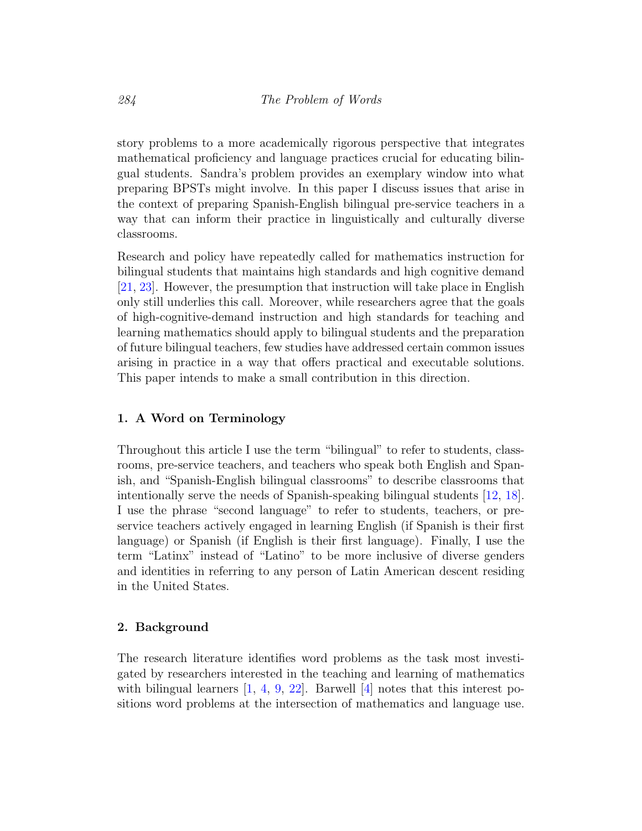story problems to a more academically rigorous perspective that integrates mathematical proficiency and language practices crucial for educating bilingual students. Sandra's problem provides an exemplary window into what preparing BPSTs might involve. In this paper I discuss issues that arise in the context of preparing Spanish-English bilingual pre-service teachers in a way that can inform their practice in linguistically and culturally diverse classrooms.

Research and policy have repeatedly called for mathematics instruction for bilingual students that maintains high standards and high cognitive demand [\[21,](#page-13-0) [23\]](#page-14-0). However, the presumption that instruction will take place in English only still underlies this call. Moreover, while researchers agree that the goals of high-cognitive-demand instruction and high standards for teaching and learning mathematics should apply to bilingual students and the preparation of future bilingual teachers, few studies have addressed certain common issues arising in practice in a way that offers practical and executable solutions. This paper intends to make a small contribution in this direction.

## 1. A Word on Terminology

Throughout this article I use the term "bilingual" to refer to students, classrooms, pre-service teachers, and teachers who speak both English and Spanish, and "Spanish-English bilingual classrooms" to describe classrooms that intentionally serve the needs of Spanish-speaking bilingual students [\[12,](#page-13-1) [18\]](#page-13-2). I use the phrase "second language" to refer to students, teachers, or preservice teachers actively engaged in learning English (if Spanish is their first language) or Spanish (if English is their first language). Finally, I use the term "Latinx" instead of "Latino" to be more inclusive of diverse genders and identities in referring to any person of Latin American descent residing in the United States.

#### 2. Background

The research literature identifies word problems as the task most investigated by researchers interested in the teaching and learning of mathematics with bilingual learners  $[1, 4, 9, 22]$  $[1, 4, 9, 22]$  $[1, 4, 9, 22]$  $[1, 4, 9, 22]$  $[1, 4, 9, 22]$  $[1, 4, 9, 22]$  $[1, 4, 9, 22]$ . Barwell  $[4]$  notes that this interest positions word problems at the intersection of mathematics and language use.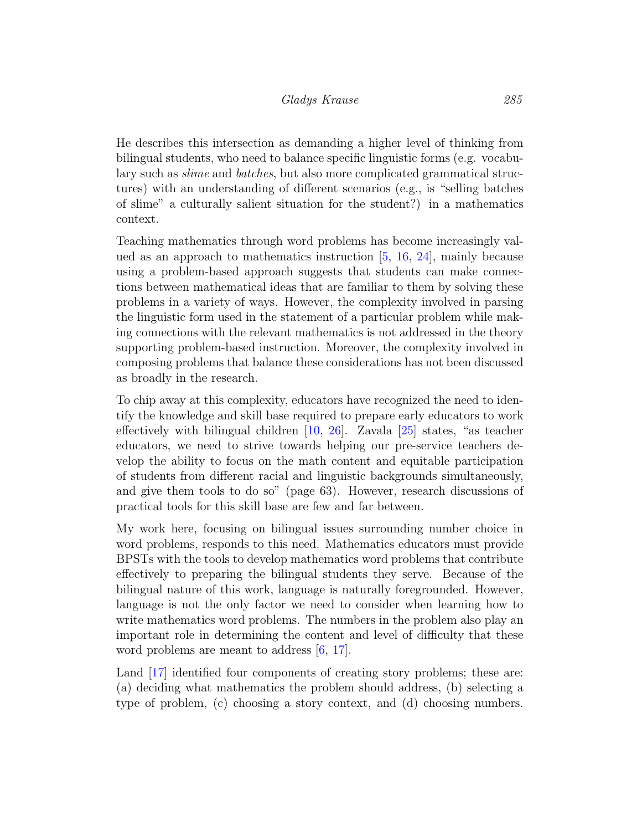He describes this intersection as demanding a higher level of thinking from bilingual students, who need to balance specific linguistic forms (e.g. vocabulary such as slime and batches, but also more complicated grammatical structures) with an understanding of different scenarios (e.g., is "selling batches of slime" a culturally salient situation for the student?) in a mathematics context.

Teaching mathematics through word problems has become increasingly valued as an approach to mathematics instruction  $[5, 16, 24]$  $[5, 16, 24]$  $[5, 16, 24]$  $[5, 16, 24]$  $[5, 16, 24]$ , mainly because using a problem-based approach suggests that students can make connections between mathematical ideas that are familiar to them by solving these problems in a variety of ways. However, the complexity involved in parsing the linguistic form used in the statement of a particular problem while making connections with the relevant mathematics is not addressed in the theory supporting problem-based instruction. Moreover, the complexity involved in composing problems that balance these considerations has not been discussed as broadly in the research.

To chip away at this complexity, educators have recognized the need to identify the knowledge and skill base required to prepare early educators to work effectively with bilingual children [\[10,](#page-12-4) [26\]](#page-14-2). Zavala [\[25\]](#page-14-3) states, "as teacher educators, we need to strive towards helping our pre-service teachers develop the ability to focus on the math content and equitable participation of students from different racial and linguistic backgrounds simultaneously, and give them tools to do so" (page 63). However, research discussions of practical tools for this skill base are few and far between.

My work here, focusing on bilingual issues surrounding number choice in word problems, responds to this need. Mathematics educators must provide BPSTs with the tools to develop mathematics word problems that contribute effectively to preparing the bilingual students they serve. Because of the bilingual nature of this work, language is naturally foregrounded. However, language is not the only factor we need to consider when learning how to write mathematics word problems. The numbers in the problem also play an important role in determining the content and level of difficulty that these word problems are meant to address  $[6, 17]$  $[6, 17]$  $[6, 17]$ .

Land [\[17\]](#page-13-5) identified four components of creating story problems; these are: (a) deciding what mathematics the problem should address, (b) selecting a type of problem, (c) choosing a story context, and (d) choosing numbers.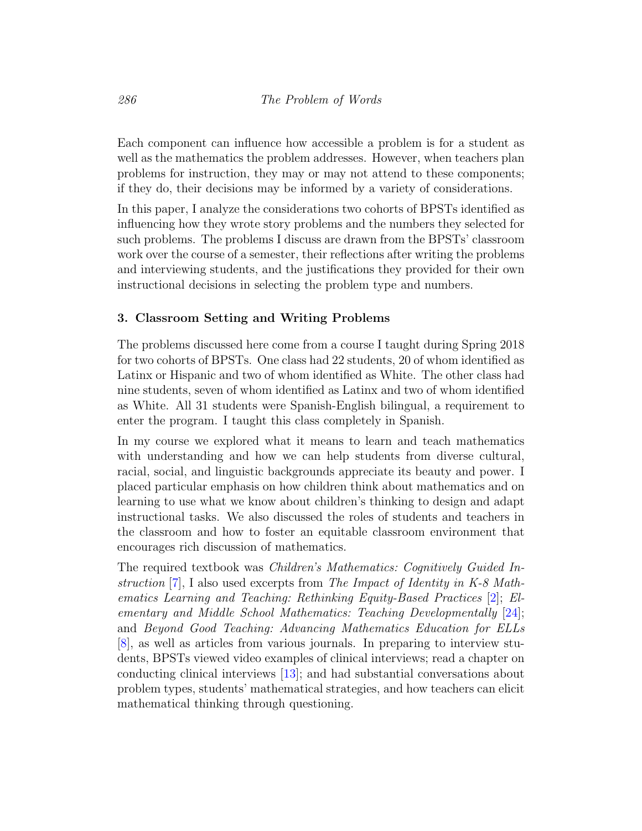Each component can influence how accessible a problem is for a student as well as the mathematics the problem addresses. However, when teachers plan problems for instruction, they may or may not attend to these components; if they do, their decisions may be informed by a variety of considerations.

In this paper, I analyze the considerations two cohorts of BPSTs identified as influencing how they wrote story problems and the numbers they selected for such problems. The problems I discuss are drawn from the BPSTs' classroom work over the course of a semester, their reflections after writing the problems and interviewing students, and the justifications they provided for their own instructional decisions in selecting the problem type and numbers.

## 3. Classroom Setting and Writing Problems

The problems discussed here come from a course I taught during Spring 2018 for two cohorts of BPSTs. One class had 22 students, 20 of whom identified as Latinx or Hispanic and two of whom identified as White. The other class had nine students, seven of whom identified as Latinx and two of whom identified as White. All 31 students were Spanish-English bilingual, a requirement to enter the program. I taught this class completely in Spanish.

In my course we explored what it means to learn and teach mathematics with understanding and how we can help students from diverse cultural, racial, social, and linguistic backgrounds appreciate its beauty and power. I placed particular emphasis on how children think about mathematics and on learning to use what we know about children's thinking to design and adapt instructional tasks. We also discussed the roles of students and teachers in the classroom and how to foster an equitable classroom environment that encourages rich discussion of mathematics.

The required textbook was Children's Mathematics: Cognitively Guided Instruction [\[7\]](#page-12-6), I also used excerpts from The Impact of Identity in K-8 Mathematics Learning and Teaching: Rethinking Equity-Based Practices [\[2\]](#page-11-1); Elementary and Middle School Mathematics: Teaching Developmentally [\[24\]](#page-14-1); and Beyond Good Teaching: Advancing Mathematics Education for ELLs [\[8\]](#page-12-7), as well as articles from various journals. In preparing to interview students, BPSTs viewed video examples of clinical interviews; read a chapter on conducting clinical interviews [\[13\]](#page-13-6); and had substantial conversations about problem types, students' mathematical strategies, and how teachers can elicit mathematical thinking through questioning.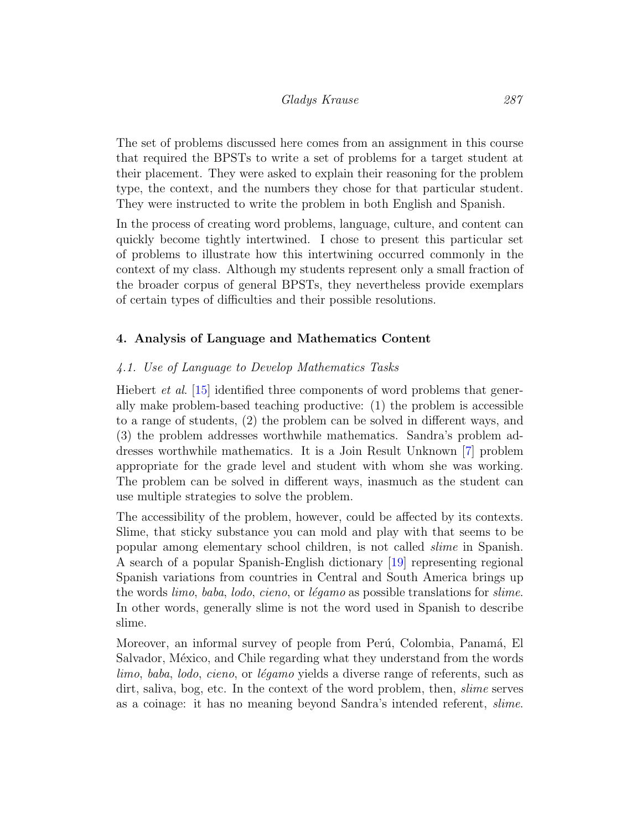The set of problems discussed here comes from an assignment in this course that required the BPSTs to write a set of problems for a target student at their placement. They were asked to explain their reasoning for the problem type, the context, and the numbers they chose for that particular student. They were instructed to write the problem in both English and Spanish.

In the process of creating word problems, language, culture, and content can quickly become tightly intertwined. I chose to present this particular set of problems to illustrate how this intertwining occurred commonly in the context of my class. Although my students represent only a small fraction of the broader corpus of general BPSTs, they nevertheless provide exemplars of certain types of difficulties and their possible resolutions.

## 4. Analysis of Language and Mathematics Content

## 4.1. Use of Language to Develop Mathematics Tasks

Hiebert *et al.* [\[15\]](#page-13-7) identified three components of word problems that generally make problem-based teaching productive: (1) the problem is accessible to a range of students, (2) the problem can be solved in different ways, and (3) the problem addresses worthwhile mathematics. Sandra's problem addresses worthwhile mathematics. It is a Join Result Unknown [\[7\]](#page-12-6) problem appropriate for the grade level and student with whom she was working. The problem can be solved in different ways, inasmuch as the student can use multiple strategies to solve the problem.

The accessibility of the problem, however, could be affected by its contexts. Slime, that sticky substance you can mold and play with that seems to be popular among elementary school children, is not called slime in Spanish. A search of a popular Spanish-English dictionary [\[19\]](#page-13-8) representing regional Spanish variations from countries in Central and South America brings up the words *limo*, *baba*, *lodo*, *cieno*, or *légamo* as possible translations for *slime*. In other words, generally slime is not the word used in Spanish to describe slime.

Moreover, an informal survey of people from Perú, Colombia, Panamá, El Salvador, México, and Chile regarding what they understand from the words limo, baba, lodo, cieno, or légamo yields a diverse range of referents, such as dirt, saliva, bog, etc. In the context of the word problem, then, slime serves as a coinage: it has no meaning beyond Sandra's intended referent, slime.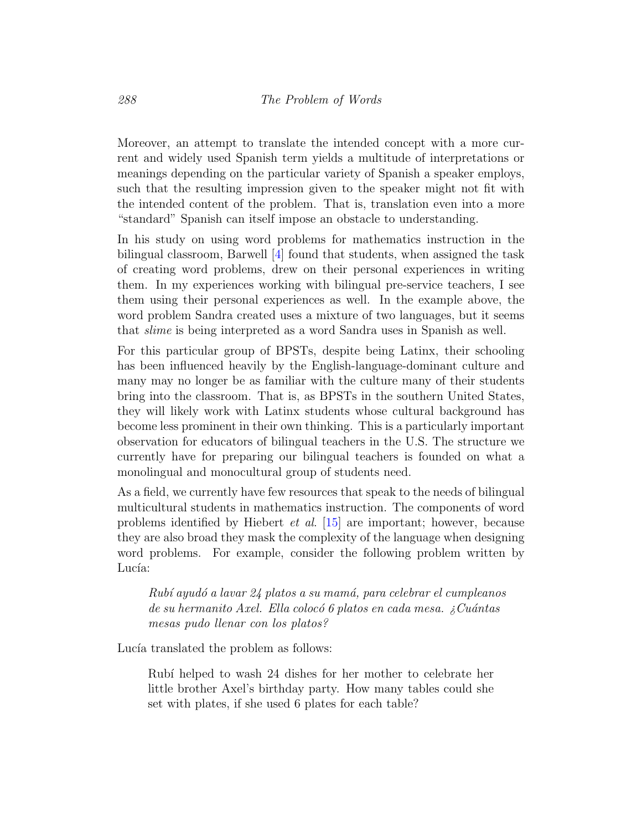Moreover, an attempt to translate the intended concept with a more current and widely used Spanish term yields a multitude of interpretations or meanings depending on the particular variety of Spanish a speaker employs, such that the resulting impression given to the speaker might not fit with the intended content of the problem. That is, translation even into a more "standard" Spanish can itself impose an obstacle to understanding.

In his study on using word problems for mathematics instruction in the bilingual classroom, Barwell [\[4\]](#page-12-1) found that students, when assigned the task of creating word problems, drew on their personal experiences in writing them. In my experiences working with bilingual pre-service teachers, I see them using their personal experiences as well. In the example above, the word problem Sandra created uses a mixture of two languages, but it seems that slime is being interpreted as a word Sandra uses in Spanish as well.

For this particular group of BPSTs, despite being Latinx, their schooling has been influenced heavily by the English-language-dominant culture and many may no longer be as familiar with the culture many of their students bring into the classroom. That is, as BPSTs in the southern United States, they will likely work with Latinx students whose cultural background has become less prominent in their own thinking. This is a particularly important observation for educators of bilingual teachers in the U.S. The structure we currently have for preparing our bilingual teachers is founded on what a monolingual and monocultural group of students need.

As a field, we currently have few resources that speak to the needs of bilingual multicultural students in mathematics instruction. The components of word problems identified by Hiebert et al. [\[15\]](#page-13-7) are important; however, because they are also broad they mask the complexity of the language when designing word problems. For example, consider the following problem written by Lucía:

Rubí ayudó a lavar 24 platos a su mamá, para celebrar el cumpleanos de su hermanito Axel. Ella colocó 6 platos en cada mesa. ¿Cuántas mesas pudo llenar con los platos?

Lucía translated the problem as follows:

Rubí helped to wash 24 dishes for her mother to celebrate her little brother Axel's birthday party. How many tables could she set with plates, if she used 6 plates for each table?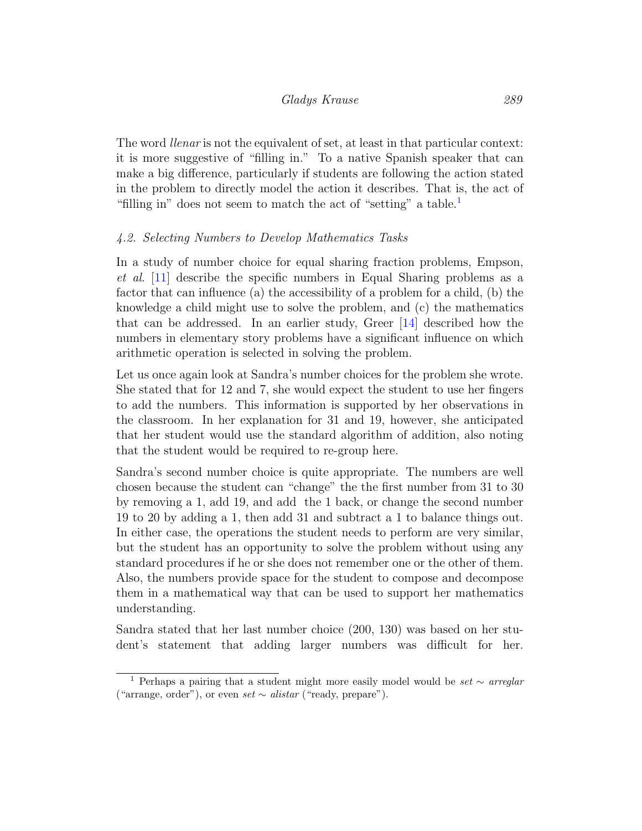The word llenar is not the equivalent of set, at least in that particular context: it is more suggestive of "filling in." To a native Spanish speaker that can make a big difference, particularly if students are following the action stated in the problem to directly model the action it describes. That is, the act of "filling in" does not seem to match the act of "setting" a table.<sup>[1](#page-9-0)</sup>

#### 4.2. Selecting Numbers to Develop Mathematics Tasks

In a study of number choice for equal sharing fraction problems, Empson, et al. [\[11\]](#page-12-8) describe the specific numbers in Equal Sharing problems as a factor that can influence (a) the accessibility of a problem for a child, (b) the knowledge a child might use to solve the problem, and (c) the mathematics that can be addressed. In an earlier study, Greer [\[14\]](#page-13-9) described how the numbers in elementary story problems have a significant influence on which arithmetic operation is selected in solving the problem.

Let us once again look at Sandra's number choices for the problem she wrote. She stated that for 12 and 7, she would expect the student to use her fingers to add the numbers. This information is supported by her observations in the classroom. In her explanation for 31 and 19, however, she anticipated that her student would use the standard algorithm of addition, also noting that the student would be required to re-group here.

Sandra's second number choice is quite appropriate. The numbers are well chosen because the student can "change" the the first number from 31 to 30 by removing a 1, add 19, and add the 1 back, or change the second number 19 to 20 by adding a 1, then add 31 and subtract a 1 to balance things out. In either case, the operations the student needs to perform are very similar, but the student has an opportunity to solve the problem without using any standard procedures if he or she does not remember one or the other of them. Also, the numbers provide space for the student to compose and decompose them in a mathematical way that can be used to support her mathematics understanding.

Sandra stated that her last number choice (200, 130) was based on her student's statement that adding larger numbers was difficult for her.

<span id="page-9-0"></span><sup>&</sup>lt;sup>1</sup> Perhaps a pairing that a student might more easily model would be *set* ∼ arreglar ("arrange, order"), or even set  $\sim$  alistar ("ready, prepare").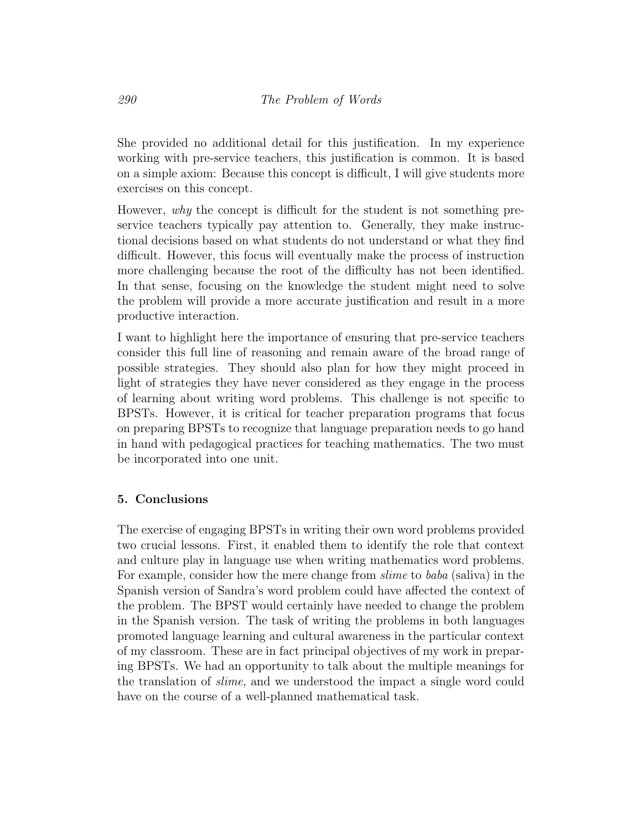She provided no additional detail for this justification. In my experience working with pre-service teachers, this justification is common. It is based on a simple axiom: Because this concept is difficult, I will give students more exercises on this concept.

However, why the concept is difficult for the student is not something preservice teachers typically pay attention to. Generally, they make instructional decisions based on what students do not understand or what they find difficult. However, this focus will eventually make the process of instruction more challenging because the root of the difficulty has not been identified. In that sense, focusing on the knowledge the student might need to solve the problem will provide a more accurate justification and result in a more productive interaction.

I want to highlight here the importance of ensuring that pre-service teachers consider this full line of reasoning and remain aware of the broad range of possible strategies. They should also plan for how they might proceed in light of strategies they have never considered as they engage in the process of learning about writing word problems. This challenge is not specific to BPSTs. However, it is critical for teacher preparation programs that focus on preparing BPSTs to recognize that language preparation needs to go hand in hand with pedagogical practices for teaching mathematics. The two must be incorporated into one unit.

## 5. Conclusions

The exercise of engaging BPSTs in writing their own word problems provided two crucial lessons. First, it enabled them to identify the role that context and culture play in language use when writing mathematics word problems. For example, consider how the mere change from *slime* to *baba* (saliva) in the Spanish version of Sandra's word problem could have affected the context of the problem. The BPST would certainly have needed to change the problem in the Spanish version. The task of writing the problems in both languages promoted language learning and cultural awareness in the particular context of my classroom. These are in fact principal objectives of my work in preparing BPSTs. We had an opportunity to talk about the multiple meanings for the translation of slime, and we understood the impact a single word could have on the course of a well-planned mathematical task.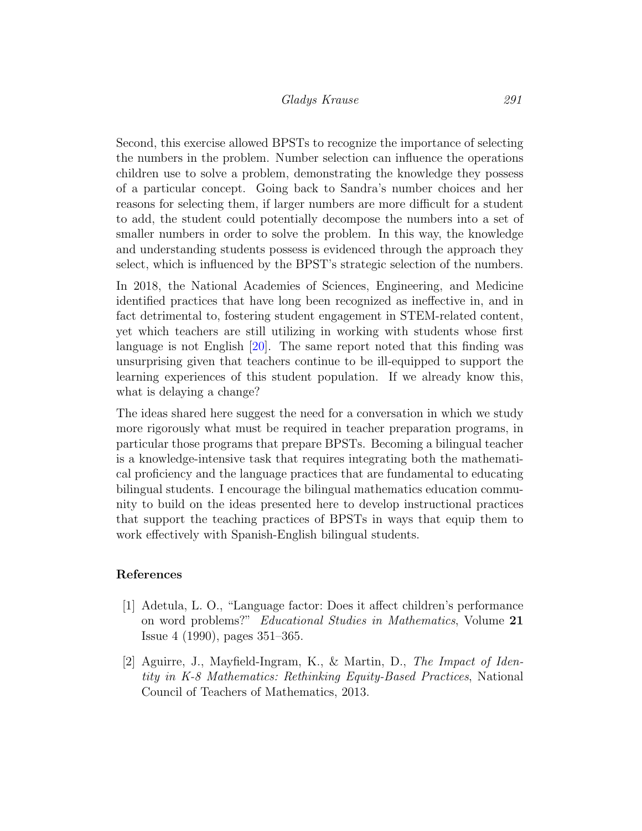Second, this exercise allowed BPSTs to recognize the importance of selecting the numbers in the problem. Number selection can influence the operations children use to solve a problem, demonstrating the knowledge they possess of a particular concept. Going back to Sandra's number choices and her reasons for selecting them, if larger numbers are more difficult for a student to add, the student could potentially decompose the numbers into a set of smaller numbers in order to solve the problem. In this way, the knowledge and understanding students possess is evidenced through the approach they select, which is influenced by the BPST's strategic selection of the numbers.

In 2018, the National Academies of Sciences, Engineering, and Medicine identified practices that have long been recognized as ineffective in, and in fact detrimental to, fostering student engagement in STEM-related content, yet which teachers are still utilizing in working with students whose first language is not English [\[20\]](#page-13-10). The same report noted that this finding was unsurprising given that teachers continue to be ill-equipped to support the learning experiences of this student population. If we already know this, what is delaying a change?

The ideas shared here suggest the need for a conversation in which we study more rigorously what must be required in teacher preparation programs, in particular those programs that prepare BPSTs. Becoming a bilingual teacher is a knowledge-intensive task that requires integrating both the mathematical proficiency and the language practices that are fundamental to educating bilingual students. I encourage the bilingual mathematics education community to build on the ideas presented here to develop instructional practices that support the teaching practices of BPSTs in ways that equip them to work effectively with Spanish-English bilingual students.

#### References

- <span id="page-11-0"></span>[1] Adetula, L. O., "Language factor: Does it affect children's performance on word problems?" Educational Studies in Mathematics, Volume 21 Issue 4 (1990), pages 351–365.
- <span id="page-11-1"></span>[2] Aguirre, J., Mayfield-Ingram, K., & Martin, D., The Impact of Identity in K-8 Mathematics: Rethinking Equity-Based Practices, National Council of Teachers of Mathematics, 2013.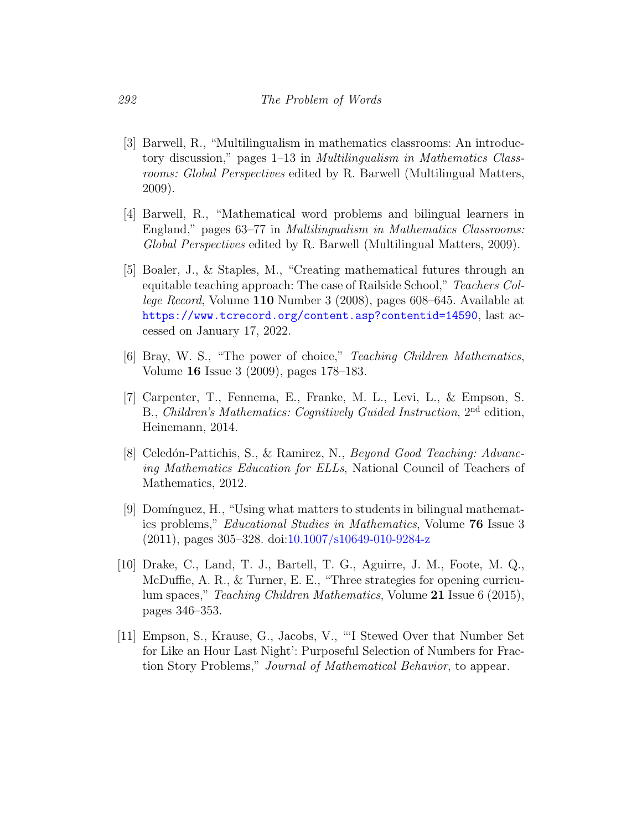- <span id="page-12-0"></span>[3] Barwell, R., "Multilingualism in mathematics classrooms: An introductory discussion," pages 1–13 in Multilingualism in Mathematics Classrooms: Global Perspectives edited by R. Barwell (Multilingual Matters, 2009).
- <span id="page-12-1"></span>[4] Barwell, R., "Mathematical word problems and bilingual learners in England," pages 63–77 in Multilingualism in Mathematics Classrooms: Global Perspectives edited by R. Barwell (Multilingual Matters, 2009).
- <span id="page-12-3"></span>[5] Boaler, J., & Staples, M., "Creating mathematical futures through an equitable teaching approach: The case of Railside School," Teachers College Record, Volume 110 Number 3 (2008), pages 608–645. Available at <https://www.tcrecord.org/content.asp?contentid=14590>, last accessed on January 17, 2022.
- <span id="page-12-5"></span>[6] Bray, W. S., "The power of choice," Teaching Children Mathematics, Volume 16 Issue 3 (2009), pages 178–183.
- <span id="page-12-6"></span>[7] Carpenter, T., Fennema, E., Franke, M. L., Levi, L., & Empson, S. B., Children's Mathematics: Cognitively Guided Instruction, 2nd edition, Heinemann, 2014.
- <span id="page-12-7"></span>[8] Celedón-Pattichis, S., & Ramirez, N., *Beyond Good Teaching: Advanc*ing Mathematics Education for ELLs, National Council of Teachers of Mathematics, 2012.
- <span id="page-12-2"></span>[9] Domínguez, H., "Using what matters to students in bilingual mathematics problems," Educational Studies in Mathematics, Volume 76 Issue 3 (2011), pages 305–328. doi[:10.1007/s10649-010-9284-z](http://dx.doi.org/10.1007/s10649-010-9284-z)
- <span id="page-12-4"></span>[10] Drake, C., Land, T. J., Bartell, T. G., Aguirre, J. M., Foote, M. Q., McDuffie, A. R., & Turner, E. E., "Three strategies for opening curriculum spaces," Teaching Children Mathematics, Volume 21 Issue 6 (2015), pages 346–353.
- <span id="page-12-8"></span>[11] Empson, S., Krause, G., Jacobs, V., "'I Stewed Over that Number Set for Like an Hour Last Night': Purposeful Selection of Numbers for Fraction Story Problems," Journal of Mathematical Behavior, to appear.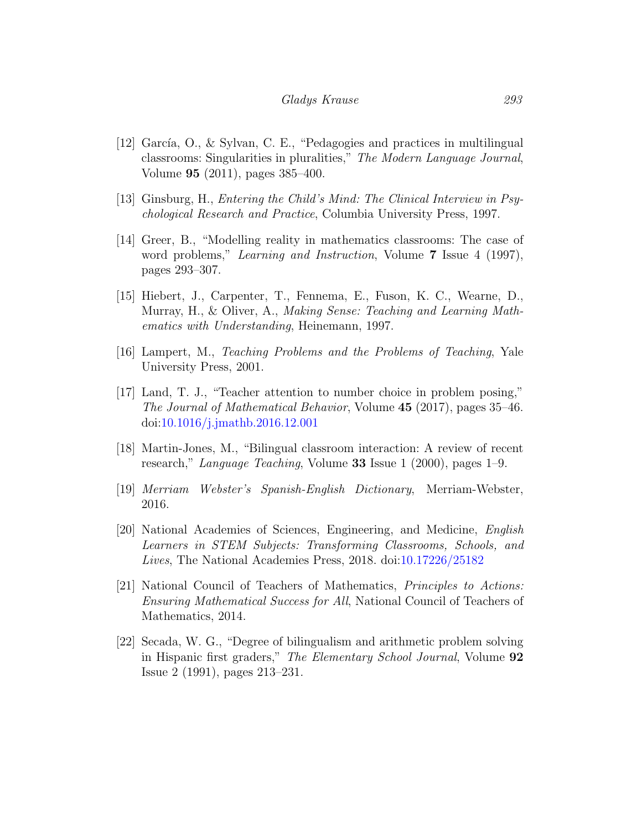- <span id="page-13-1"></span>[12] García, O., & Sylvan, C. E., "Pedagogies and practices in multilingual classrooms: Singularities in pluralities," The Modern Language Journal, Volume 95 (2011), pages 385–400.
- <span id="page-13-6"></span>[13] Ginsburg, H., Entering the Child's Mind: The Clinical Interview in Psychological Research and Practice, Columbia University Press, 1997.
- <span id="page-13-9"></span>[14] Greer, B., "Modelling reality in mathematics classrooms: The case of word problems," Learning and Instruction, Volume 7 Issue 4 (1997), pages 293–307.
- <span id="page-13-7"></span>[15] Hiebert, J., Carpenter, T., Fennema, E., Fuson, K. C., Wearne, D., Murray, H., & Oliver, A., Making Sense: Teaching and Learning Mathematics with Understanding, Heinemann, 1997.
- <span id="page-13-4"></span>[16] Lampert, M., Teaching Problems and the Problems of Teaching, Yale University Press, 2001.
- <span id="page-13-5"></span>[17] Land, T. J., "Teacher attention to number choice in problem posing," The Journal of Mathematical Behavior, Volume 45 (2017), pages 35–46. doi[:10.1016/j.jmathb.2016.12.001](http://dx.doi.org/10.1016/j.jmathb.2016.12.001)
- <span id="page-13-2"></span>[18] Martin-Jones, M., "Bilingual classroom interaction: A review of recent research," Language Teaching, Volume 33 Issue 1 (2000), pages 1–9.
- <span id="page-13-8"></span>[19] Merriam Webster's Spanish-English Dictionary, Merriam-Webster, 2016.
- <span id="page-13-10"></span>[20] National Academies of Sciences, Engineering, and Medicine, English Learners in STEM Subjects: Transforming Classrooms, Schools, and Lives, The National Academies Press, 2018. doi[:10.17226/25182](http://dx.doi.org/10.17226/25182)
- <span id="page-13-0"></span>[21] National Council of Teachers of Mathematics, Principles to Actions: Ensuring Mathematical Success for All, National Council of Teachers of Mathematics, 2014.
- <span id="page-13-3"></span>[22] Secada, W. G., "Degree of bilingualism and arithmetic problem solving in Hispanic first graders," The Elementary School Journal, Volume 92 Issue 2 (1991), pages 213–231.